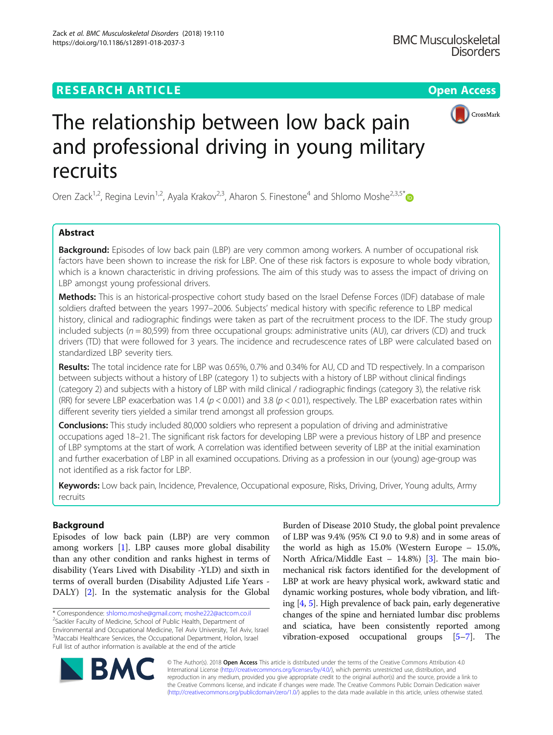https://doi.org/10.1186/s12891-018-2037-3

Zack et al. BMC Musculoskeletal Disorders (2018) 19:110



# The relationship between low back pain and professional driving in young military recruits

Oren Zack<sup>1,2</sup>, Regina Levin<sup>1,2</sup>, Ayala Krakov<sup>2,3</sup>, Aharon S. Finestone<sup>4</sup> and Shlomo Moshe<sup>2,3,5\*</sup>

# Abstract

**Background:** Episodes of low back pain (LBP) are very common among workers. A number of occupational risk factors have been shown to increase the risk for LBP. One of these risk factors is exposure to whole body vibration, which is a known characteristic in driving professions. The aim of this study was to assess the impact of driving on LBP amongst young professional drivers.

Methods: This is an historical-prospective cohort study based on the Israel Defense Forces (IDF) database of male soldiers drafted between the years 1997–2006. Subjects' medical history with specific reference to LBP medical history, clinical and radiographic findings were taken as part of the recruitment process to the IDF. The study group included subjects ( $n = 80,599$ ) from three occupational groups: administrative units (AU), car drivers (CD) and truck drivers (TD) that were followed for 3 years. The incidence and recrudescence rates of LBP were calculated based on standardized LBP severity tiers.

Results: The total incidence rate for LBP was 0.65%, 0.7% and 0.34% for AU, CD and TD respectively. In a comparison between subjects without a history of LBP (category 1) to subjects with a history of LBP without clinical findings (category 2) and subjects with a history of LBP with mild clinical / radiographic findings (category 3), the relative risk (RR) for severe LBP exacerbation was 1.4 ( $p < 0.001$ ) and 3.8 ( $p < 0.01$ ), respectively. The LBP exacerbation rates within different severity tiers yielded a similar trend amongst all profession groups.

**Conclusions:** This study included 80,000 soldiers who represent a population of driving and administrative occupations aged 18–21. The significant risk factors for developing LBP were a previous history of LBP and presence of LBP symptoms at the start of work. A correlation was identified between severity of LBP at the initial examination and further exacerbation of LBP in all examined occupations. Driving as a profession in our (young) age-group was not identified as a risk factor for LBP.

Keywords: Low back pain, Incidence, Prevalence, Occupational exposure, Risks, Driving, Driver, Young adults, Army recruits

# Background

Episodes of low back pain (LBP) are very common among workers [\[1](#page-6-0)]. LBP causes more global disability than any other condition and ranks highest in terms of disability (Years Lived with Disability -YLD) and sixth in terms of overall burden (Disability Adjusted Life Years - DALY) [\[2\]](#page-6-0). In the systematic analysis for the Global

\* Correspondence: [shlomo.moshe@gmail.com](mailto:shlomo.moshe@gmail.com); [moshe222@actcom.co.il](mailto:moshe222@actcom.co.il) <sup>2</sup>  $2$ Sackler Faculty of Medicine, School of Public Health, Department of Environmental and Occupational Medicine, Tel Aviv University, Tel Aviv, Israel <sup>3</sup>Maccabi Healthcare Services, the Occupational Department, Holon, Israel Full list of author information is available at the end of the article

Burden of Disease 2010 Study, the global point prevalence of LBP was 9.4% (95% CI 9.0 to 9.8) and in some areas of the world as high as 15.0% (Western Europe – 15.0%, North Africa/Middle East – 14.8%) [[3\]](#page-6-0). The main biomechanical risk factors identified for the development of LBP at work are heavy physical work, awkward static and dynamic working postures, whole body vibration, and lifting [[4,](#page-6-0) [5](#page-6-0)]. High prevalence of back pain, early degenerative changes of the spine and herniated lumbar disc problems and sciatica, have been consistently reported among vibration-exposed occupational groups [[5](#page-6-0)–[7](#page-6-0)]. The



© The Author(s). 2018 Open Access This article is distributed under the terms of the Creative Commons Attribution 4.0 International License [\(http://creativecommons.org/licenses/by/4.0/](http://creativecommons.org/licenses/by/4.0/)), which permits unrestricted use, distribution, and reproduction in any medium, provided you give appropriate credit to the original author(s) and the source, provide a link to the Creative Commons license, and indicate if changes were made. The Creative Commons Public Domain Dedication waiver [\(http://creativecommons.org/publicdomain/zero/1.0/](http://creativecommons.org/publicdomain/zero/1.0/)) applies to the data made available in this article, unless otherwise stated.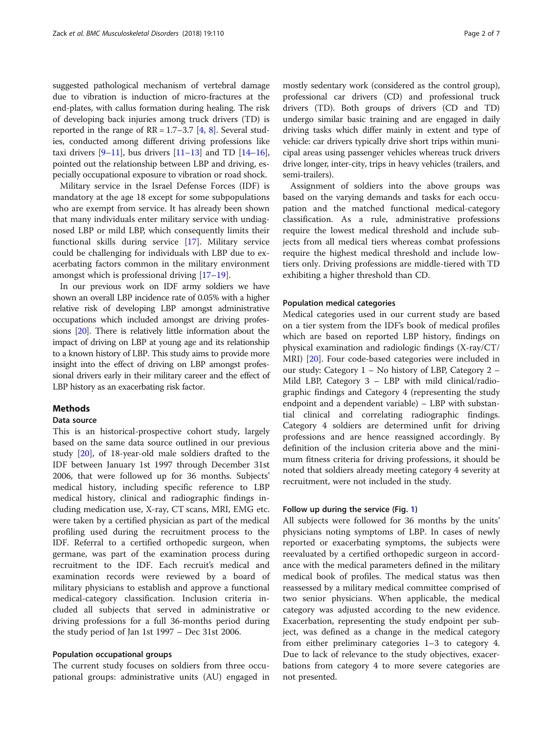suggested pathological mechanism of vertebral damage due to vibration is induction of micro-fractures at the end-plates, with callus formation during healing. The risk of developing back injuries among truck drivers (TD) is reported in the range of  $RR = 1.7 - 3.7$  [[4,](#page-6-0) [8\]](#page-6-0). Several studies, conducted among different driving professions like taxi drivers  $[9-11]$  $[9-11]$  $[9-11]$  $[9-11]$ , bus drivers  $[11-13]$  $[11-13]$  and TD  $[14-16]$  $[14-16]$  $[14-16]$  $[14-16]$ , pointed out the relationship between LBP and driving, especially occupational exposure to vibration or road shock.

Military service in the Israel Defense Forces (IDF) is mandatory at the age 18 except for some subpopulations who are exempt from service. It has already been shown that many individuals enter military service with undiagnosed LBP or mild LBP, which consequently limits their functional skills during service [\[17\]](#page-6-0). Military service could be challenging for individuals with LBP due to exacerbating factors common in the military environment amongst which is professional driving [[17](#page-6-0)–[19](#page-6-0)].

In our previous work on IDF army soldiers we have shown an overall LBP incidence rate of 0.05% with a higher relative risk of developing LBP amongst administrative occupations which included amongst are driving professions [[20](#page-6-0)]. There is relatively little information about the impact of driving on LBP at young age and its relationship to a known history of LBP. This study aims to provide more insight into the effect of driving on LBP amongst professional drivers early in their military career and the effect of LBP history as an exacerbating risk factor.

## Methods

## Data source

This is an historical-prospective cohort study, largely based on the same data source outlined in our previous study [[20](#page-6-0)], of 18-year-old male soldiers drafted to the IDF between January 1st 1997 through December 31st 2006, that were followed up for 36 months. Subjects' medical history, including specific reference to LBP medical history, clinical and radiographic findings including medication use, X-ray, CT scans, MRI, EMG etc. were taken by a certified physician as part of the medical profiling used during the recruitment process to the IDF. Referral to a certified orthopedic surgeon, when germane, was part of the examination process during recruitment to the IDF. Each recruit's medical and examination records were reviewed by a board of military physicians to establish and approve a functional medical-category classification. Inclusion criteria included all subjects that served in administrative or driving professions for a full 36-months period during the study period of Jan 1st 1997 – Dec 31st 2006.

## Population occupational groups

The current study focuses on soldiers from three occupational groups: administrative units (AU) engaged in mostly sedentary work (considered as the control group), professional car drivers (CD) and professional truck drivers (TD). Both groups of drivers (CD and TD) undergo similar basic training and are engaged in daily driving tasks which differ mainly in extent and type of vehicle: car drivers typically drive short trips within municipal areas using passenger vehicles whereas truck drivers drive longer, inter-city, trips in heavy vehicles (trailers, and semi-trailers).

Assignment of soldiers into the above groups was based on the varying demands and tasks for each occupation and the matched functional medical-category classification. As a rule, administrative professions require the lowest medical threshold and include subjects from all medical tiers whereas combat professions require the highest medical threshold and include lowtiers only. Driving professions are middle-tiered with TD exhibiting a higher threshold than CD.

## Population medical categories

Medical categories used in our current study are based on a tier system from the IDF's book of medical profiles which are based on reported LBP history, findings on physical examination and radiologic findings (X-ray/CT/ MRI) [\[20\]](#page-6-0). Four code-based categories were included in our study: Category 1 – No history of LBP, Category 2 – Mild LBP, Category 3 – LBP with mild clinical/radiographic findings and Category 4 (representing the study endpoint and a dependent variable) – LBP with substantial clinical and correlating radiographic findings. Category 4 soldiers are determined unfit for driving professions and are hence reassigned accordingly. By definition of the inclusion criteria above and the minimum fitness criteria for driving professions, it should be noted that soldiers already meeting category 4 severity at recruitment, were not included in the study.

## Follow up during the service (Fig. [1](#page-2-0))

All subjects were followed for 36 months by the units' physicians noting symptoms of LBP. In cases of newly reported or exacerbating symptoms, the subjects were reevaluated by a certified orthopedic surgeon in accordance with the medical parameters defined in the military medical book of profiles. The medical status was then reassessed by a military medical committee comprised of two senior physicians. When applicable, the medical category was adjusted according to the new evidence. Exacerbation, representing the study endpoint per subject, was defined as a change in the medical category from either preliminary categories 1–3 to category 4. Due to lack of relevance to the study objectives, exacerbations from category 4 to more severe categories are not presented.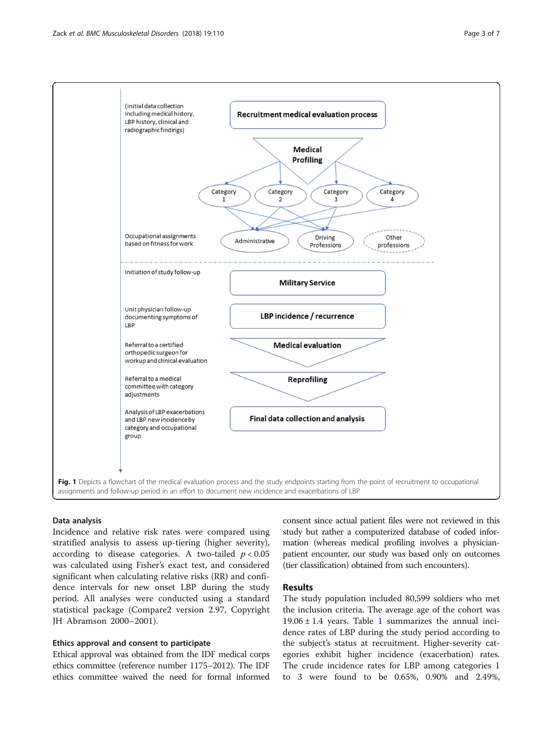<span id="page-2-0"></span>

## Data analysis

Incidence and relative risk rates were compared using stratified analysis to assess up-tiering (higher severity), according to disease categories. A two-tailed  $p < 0.05$ was calculated using Fisher's exact test, and considered significant when calculating relative risks (RR) and confidence intervals for new onset LBP during the study period. All analyses were conducted using a standard statistical package (Compare2 version 2.97, Copyright JH Abramson 2000–2001).

## Ethics approval and consent to participate

Ethical approval was obtained from the IDF medical corps ethics committee (reference number 1175–2012). The IDF ethics committee waived the need for formal informed consent since actual patient files were not reviewed in this study but rather a computerized database of coded information (whereas medical profiling involves a physicianpatient encounter, our study was based only on outcomes (tier classification) obtained from such encounters).

## Results

The study population included 80,599 soldiers who met the inclusion criteria. The average age of the cohort was  $19.06 \pm 1.4$  $19.06 \pm 1.4$  years. Table 1 summarizes the annual incidence rates of LBP during the study period according to the subject's status at recruitment. Higher-severity categories exhibit higher incidence (exacerbation) rates. The crude incidence rates for LBP among categories 1 to 3 were found to be 0.65%, 0.90% and 2.49%,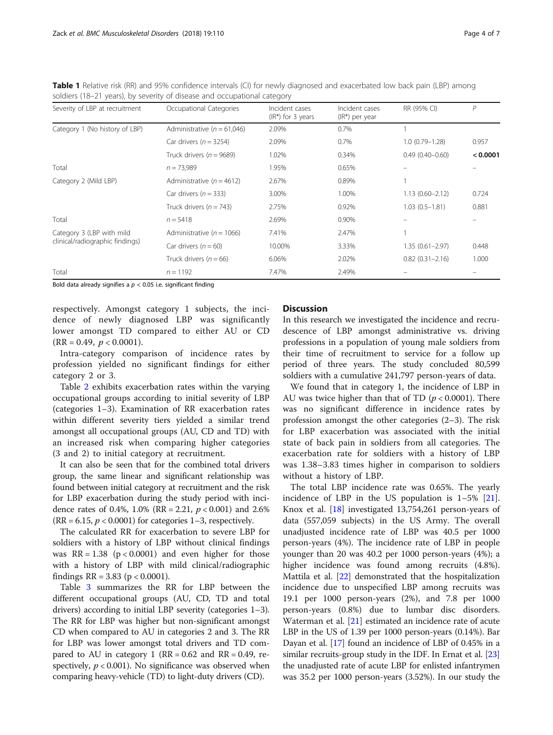| Severity of LBP at recruitment                               | Occupational Categories         | Incident cases<br>$(IR^*)$ for 3 years | Incident cases<br>$(\mathsf{IR}^*)$ per year | RR (95% CI)         | $\overline{P}$ |
|--------------------------------------------------------------|---------------------------------|----------------------------------------|----------------------------------------------|---------------------|----------------|
| Category 1 (No history of LBP)                               | Administrative ( $n = 61,046$ ) | 2.09%                                  | $0.7\%$                                      |                     |                |
|                                                              | Car drivers ( $n = 3254$ )      | 2.09%                                  | $0.7\%$                                      | $1.0(0.79 - 1.28)$  | 0.957          |
|                                                              | Truck drivers ( $n = 9689$ )    | 1.02%                                  | 0.34%                                        | $0.49(0.40 - 0.60)$ | < 0.0001       |
| Total                                                        | $n = 73,989$                    | 1.95%                                  | 0.65%                                        |                     |                |
| Category 2 (Mild LBP)                                        | Administrative ( $n = 4612$ )   | 2.67%                                  | 0.89%                                        |                     |                |
|                                                              | Car drivers ( $n = 333$ )       | 3.00%                                  | 1.00%                                        | $1.13(0.60 - 2.12)$ | 0.724          |
|                                                              | Truck drivers $(n = 743)$       | 2.75%                                  | 0.92%                                        | $1.03(0.5 - 1.81)$  | 0.881          |
| Total                                                        | $n = 5418$                      | 2.69%                                  | 0.90%                                        |                     |                |
| Category 3 (LBP with mild<br>clinical/radiographic findings) | Administrative ( $n = 1066$ )   | 7.41%                                  | 2.47%                                        |                     |                |
|                                                              | Car drivers $(n = 60)$          | 10.00%                                 | 3.33%                                        | $1.35(0.61 - 2.97)$ | 0.448          |
|                                                              | Truck drivers ( $n = 66$ )      | 6.06%                                  | 2.02%                                        | $0.82(0.31 - 2.16)$ | 1.000          |
| Total                                                        | $n = 1192$                      | 7.47%                                  | 2.49%                                        |                     |                |

<span id="page-3-0"></span>Table 1 Relative risk (RR) and 95% confidence intervals (CI) for newly diagnosed and exacerbated low back pain (LBP) among soldiers (18–21 years), by severity of disease and occupational category

Bold data already signifies a  $p < 0.05$  i.e. significant finding

respectively. Amongst category 1 subjects, the incidence of newly diagnosed LBP was significantly lower amongst TD compared to either AU or CD  $(RR = 0.49, p < 0.0001).$ 

Intra-category comparison of incidence rates by profession yielded no significant findings for either category 2 or 3.

Table [2](#page-4-0) exhibits exacerbation rates within the varying occupational groups according to initial severity of LBP (categories 1–3). Examination of RR exacerbation rates within different severity tiers yielded a similar trend amongst all occupational groups (AU, CD and TD) with an increased risk when comparing higher categories (3 and 2) to initial category at recruitment.

It can also be seen that for the combined total drivers group, the same linear and significant relationship was found between initial category at recruitment and the risk for LBP exacerbation during the study period with incidence rates of 0.4%, 1.0% (RR = 2.21,  $p < 0.001$ ) and 2.6%  $(RR = 6.15, p < 0.0001)$  for categories 1–3, respectively.

The calculated RR for exacerbation to severe LBP for soldiers with a history of LBP without clinical findings was  $RR = 1.38$  ( $p < 0.0001$ ) and even higher for those with a history of LBP with mild clinical/radiographic findings  $RR = 3.83$  ( $p < 0.0001$ ).

Table [3](#page-4-0) summarizes the RR for LBP between the different occupational groups (AU, CD, TD and total drivers) according to initial LBP severity (categories 1–3). The RR for LBP was higher but non-significant amongst CD when compared to AU in categories 2 and 3. The RR for LBP was lower amongst total drivers and TD compared to AU in category 1 ( $RR = 0.62$  and  $RR = 0.49$ , respectively,  $p < 0.001$ ). No significance was observed when comparing heavy-vehicle (TD) to light-duty drivers (CD).

## **Discussion**

In this research we investigated the incidence and recrudescence of LBP amongst administrative vs. driving professions in a population of young male soldiers from their time of recruitment to service for a follow up period of three years. The study concluded 80,599 soldiers with a cumulative 241,797 person-years of data.

We found that in category 1, the incidence of LBP in AU was twice higher than that of TD  $(p < 0.0001)$ . There was no significant difference in incidence rates by profession amongst the other categories (2–3). The risk for LBP exacerbation was associated with the initial state of back pain in soldiers from all categories. The exacerbation rate for soldiers with a history of LBP was 1.38–3.83 times higher in comparison to soldiers without a history of LBP.

The total LBP incidence rate was 0.65%. The yearly incidence of LBP in the US population is 1–5% [\[21](#page-6-0)]. Knox et al. [\[18](#page-6-0)] investigated 13,754,261 person-years of data (557,059 subjects) in the US Army. The overall unadjusted incidence rate of LBP was 40.5 per 1000 person-years (4%). The incidence rate of LBP in people younger than 20 was 40.2 per 1000 person-years (4%); a higher incidence was found among recruits (4.8%). Mattila et al. [\[22](#page-6-0)] demonstrated that the hospitalization incidence due to unspecified LBP among recruits was 19.1 per 1000 person-years (2%), and 7.8 per 1000 person-years (0.8%) due to lumbar disc disorders. Waterman et al. [[21](#page-6-0)] estimated an incidence rate of acute LBP in the US of 1.39 per 1000 person-years (0.14%). Bar Dayan et al. [[17](#page-6-0)] found an incidence of LBP of 0.45% in a similar recruits-group study in the IDF. In Ernat et al. [[23](#page-6-0)] the unadjusted rate of acute LBP for enlisted infantrymen was 35.2 per 1000 person-years (3.52%). In our study the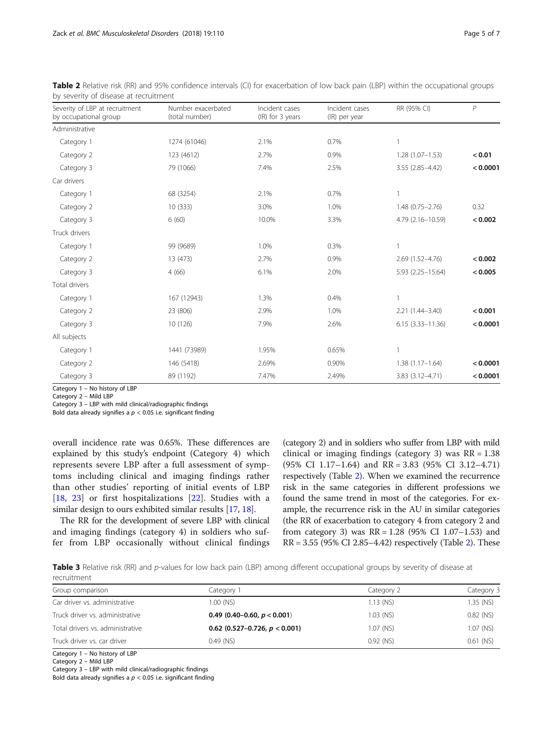| Severity of LBP at recruitment<br>by occupational group | Number exacerbated<br>(total number) | Incident cases<br>(IR) for 3 years | Incident cases<br>(IR) per year | RR (95% CI)          | $\overline{P}$ |
|---------------------------------------------------------|--------------------------------------|------------------------------------|---------------------------------|----------------------|----------------|
| Administrative                                          |                                      |                                    |                                 |                      |                |
| Category 1                                              | 1274 (61046)                         | 2.1%                               | 0.7%                            |                      |                |
| Category 2                                              | 123 (4612)                           | 2.7%                               | 0.9%                            | $1.28(1.07 - 1.53)$  | < 0.01         |
| Category 3                                              | 79 (1066)                            | 7.4%                               | 2.5%                            | 3.55 (2.85-4.42)     | < 0.0001       |
| Car drivers                                             |                                      |                                    |                                 |                      |                |
| Category 1                                              | 68 (3254)                            | 2.1%                               | 0.7%                            |                      |                |
| Category 2                                              | 10 (333)                             | 3.0%                               | 1.0%                            | 1.48 (0.75-2.76)     | 0.32           |
| Category 3                                              | 6(60)                                | 10.0%                              | 3.3%                            | 4.79 (2.16-10.59)    | < 0.002        |
| Truck drivers                                           |                                      |                                    |                                 |                      |                |
| Category 1                                              | 99 (9689)                            | 1.0%                               | 0.3%                            |                      |                |
| Category 2                                              | 13 (473)                             | 2.7%                               | 0.9%                            | 2.69 (1.52-4.76)     | < 0.002        |
| Category 3                                              | 4(66)                                | 6.1%                               | 2.0%                            | $5.93(2.25 - 15.64)$ | < 0.005        |
| <b>Total drivers</b>                                    |                                      |                                    |                                 |                      |                |
| Category 1                                              | 167 (12943)                          | 1.3%                               | 0.4%                            |                      |                |
| Category 2                                              | 23 (806)                             | 2.9%                               | 1.0%                            | 2.21 (1.44-3.40)     | < 0.001        |
| Category 3                                              | 10 (126)                             | 7.9%                               | 2.6%                            | $6.15(3.33 - 11.36)$ | < 0.0001       |
| All subjects                                            |                                      |                                    |                                 |                      |                |
| Category 1                                              | 1441 (73989)                         | 1.95%                              | 0.65%                           |                      |                |
| Category 2                                              | 146 (5418)                           | 2.69%                              | 0.90%                           | $1.38(1.17 - 1.64)$  | < 0.0001       |
| Category 3                                              | 89 (1192)                            | 7.47%                              | 2.49%                           | 3.83 (3.12-4.71)     | < 0.0001       |

<span id="page-4-0"></span>

| Table 2 Relative risk (RR) and 95% confidence intervals (CI) for exacerbation of low back pain (LBP) within the occupational groups |  |  |  |
|-------------------------------------------------------------------------------------------------------------------------------------|--|--|--|
| by severity of disease at recruitment                                                                                               |  |  |  |

Category 1 – No history of LBP

Category 2 – Mild LBP

Category 3 – LBP with mild clinical/radiographic findings

Bold data already signifies a  $p < 0.05$  i.e. significant finding

overall incidence rate was 0.65%. These differences are explained by this study's endpoint (Category 4) which represents severe LBP after a full assessment of symptoms including clinical and imaging findings rather than other studies' reporting of initial events of LBP [[18,](#page-6-0) [23\]](#page-6-0) or first hospitalizations [\[22](#page-6-0)]. Studies with a similar design to ours exhibited similar results [[17](#page-6-0), [18](#page-6-0)].

The RR for the development of severe LBP with clinical and imaging findings (category 4) in soldiers who suffer from LBP occasionally without clinical findings

(category 2) and in soldiers who suffer from LBP with mild clinical or imaging findings (category 3) was  $RR = 1.38$ (95% CI 1.17–1.64) and RR = 3.83 (95% CI 3.12–4.71) respectively (Table 2). When we examined the recurrence risk in the same categories in different professions we found the same trend in most of the categories. For example, the recurrence risk in the AU in similar categories (the RR of exacerbation to category 4 from category 2 and from category 3) was  $RR = 1.28$  (95% CI 1.07-1.53) and  $RR = 3.55$  (95% CI 2.85–4.42) respectively (Table 2). These

Table 3 Relative risk (RR) and p-values for low back pain (LBP) among different occupational groups by severity of disease at recruitment

| Group comparison                 | Category 1                       | Category 2  | Category 3  |
|----------------------------------|----------------------------------|-------------|-------------|
| Car driver vs. administrative    | 1.00 (NS)                        | $1.13$ (NS) | 1.35 (NS)   |
| Truck driver vs. administrative  | 0.49 (0.40-0.60, $p < 0.001$ )   | $1.03$ (NS) | $0.82$ (NS) |
| Total drivers vs. administrative | 0.62 (0.527-0.726, $p < 0.001$ ) | $1.07$ (NS) | 1.07 (NS)   |
| Truck driver vs. car driver      | $0.49$ (NS)                      | $0.92$ (NS) | $0.61$ (NS) |

Category 1 – No history of LBP

Category 2 – Mild LBP

Category 3 – LBP with mild clinical/radiographic findings

Bold data already signifies a  $p < 0.05$  i.e. significant finding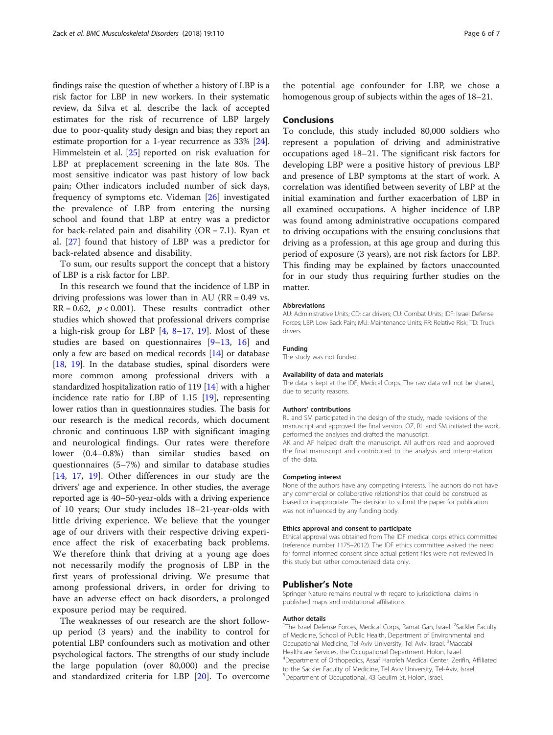findings raise the question of whether a history of LBP is a risk factor for LBP in new workers. In their systematic review, da Silva et al. describe the lack of accepted estimates for the risk of recurrence of LBP largely due to poor-quality study design and bias; they report an estimate proportion for a 1-year recurrence as 33% [[24](#page-6-0)]. Himmelstein et al. [[25](#page-6-0)] reported on risk evaluation for LBP at preplacement screening in the late 80s. The most sensitive indicator was past history of low back pain; Other indicators included number of sick days, frequency of symptoms etc. Videman [[26\]](#page-6-0) investigated the prevalence of LBP from entering the nursing school and found that LBP at entry was a predictor for back-related pain and disability ( $OR = 7.1$ ). Ryan et al. [[27\]](#page-6-0) found that history of LBP was a predictor for back-related absence and disability.

To sum, our results support the concept that a history of LBP is a risk factor for LBP.

In this research we found that the incidence of LBP in driving professions was lower than in AU ( $RR = 0.49$  vs.  $RR = 0.62$ ,  $p < 0.001$ ). These results contradict other studies which showed that professional drivers comprise a high-risk group for LBP  $[4, 8-17, 19]$  $[4, 8-17, 19]$  $[4, 8-17, 19]$  $[4, 8-17, 19]$  $[4, 8-17, 19]$  $[4, 8-17, 19]$  $[4, 8-17, 19]$  $[4, 8-17, 19]$ . Most of these studies are based on questionnaires [[9](#page-6-0)–[13,](#page-6-0) [16\]](#page-6-0) and only a few are based on medical records [\[14\]](#page-6-0) or database [[18](#page-6-0), [19](#page-6-0)]. In the database studies, spinal disorders were more common among professional drivers with a standardized hospitalization ratio of 119 [[14](#page-6-0)] with a higher incidence rate ratio for LBP of 1.15 [[19](#page-6-0)], representing lower ratios than in questionnaires studies. The basis for our research is the medical records, which document chronic and continuous LBP with significant imaging and neurological findings. Our rates were therefore lower (0.4–0.8%) than similar studies based on questionnaires (5–7%) and similar to database studies [[14,](#page-6-0) [17,](#page-6-0) [19\]](#page-6-0). Other differences in our study are the drivers' age and experience. In other studies, the average reported age is 40–50-year-olds with a driving experience of 10 years; Our study includes 18–21-year-olds with little driving experience. We believe that the younger age of our drivers with their respective driving experience affect the risk of exacerbating back problems. We therefore think that driving at a young age does not necessarily modify the prognosis of LBP in the first years of professional driving. We presume that among professional drivers, in order for driving to have an adverse effect on back disorders, a prolonged exposure period may be required.

The weaknesses of our research are the short followup period (3 years) and the inability to control for potential LBP confounders such as motivation and other psychological factors. The strengths of our study include the large population (over 80,000) and the precise and standardized criteria for LBP [\[20](#page-6-0)]. To overcome

the potential age confounder for LBP, we chose a homogenous group of subjects within the ages of 18–21.

## Conclusions

To conclude, this study included 80,000 soldiers who represent a population of driving and administrative occupations aged 18–21. The significant risk factors for developing LBP were a positive history of previous LBP and presence of LBP symptoms at the start of work. A correlation was identified between severity of LBP at the initial examination and further exacerbation of LBP in all examined occupations. A higher incidence of LBP was found among administrative occupations compared to driving occupations with the ensuing conclusions that driving as a profession, at this age group and during this period of exposure (3 years), are not risk factors for LBP. This finding may be explained by factors unaccounted for in our study thus requiring further studies on the matter.

#### Abbreviations

AU: Administrative Units; CD: car drivers; CU: Combat Units; IDF: Israel Defense Forces; LBP: Low Back Pain; MU: Maintenance Units; RR: Relative Risk; TD: Truck drivers

## Funding

The study was not funded.

#### Availability of data and materials

The data is kept at the IDF, Medical Corps. The raw data will not be shared, due to security reasons.

#### Authors' contributions

RL and SM participated in the design of the study, made revisions of the manuscript and approved the final version. OZ, RL and SM initiated the work, performed the analyses and drafted the manuscript. AK and AF helped draft the manuscript. All authors read and approved the final manuscript and contributed to the analysis and interpretation of the data.

#### Competing interest

None of the authors have any competing interests. The authors do not have any commercial or collaborative relationships that could be construed as biased or inappropriate. The decision to submit the paper for publication was not influenced by any funding body.

#### Ethics approval and consent to participate

Ethical approval was obtained from The IDF medical corps ethics committee (reference number 1175–2012). The IDF ethics committee waived the need for formal informed consent since actual patient files were not reviewed in this study but rather computerized data only.

## Publisher's Note

Springer Nature remains neutral with regard to jurisdictional claims in published maps and institutional affiliations.

#### Author details

<sup>1</sup>The Israel Defense Forces, Medical Corps, Ramat Gan, Israel. <sup>2</sup>Sackler Faculty of Medicine, School of Public Health, Department of Environmental and Occupational Medicine, Tel Aviv University, Tel Aviv, Israel. <sup>3</sup>Maccabi Healthcare Services, the Occupational Department, Holon, Israel. 4 Department of Orthopedics, Assaf Harofeh Medical Center, Zerifin, Affiliated to the Sackler Faculty of Medicine, Tel Aviv University, Tel-Aviv, Israel. 5 Department of Occupational, 43 Geulim St, Holon, Israel.